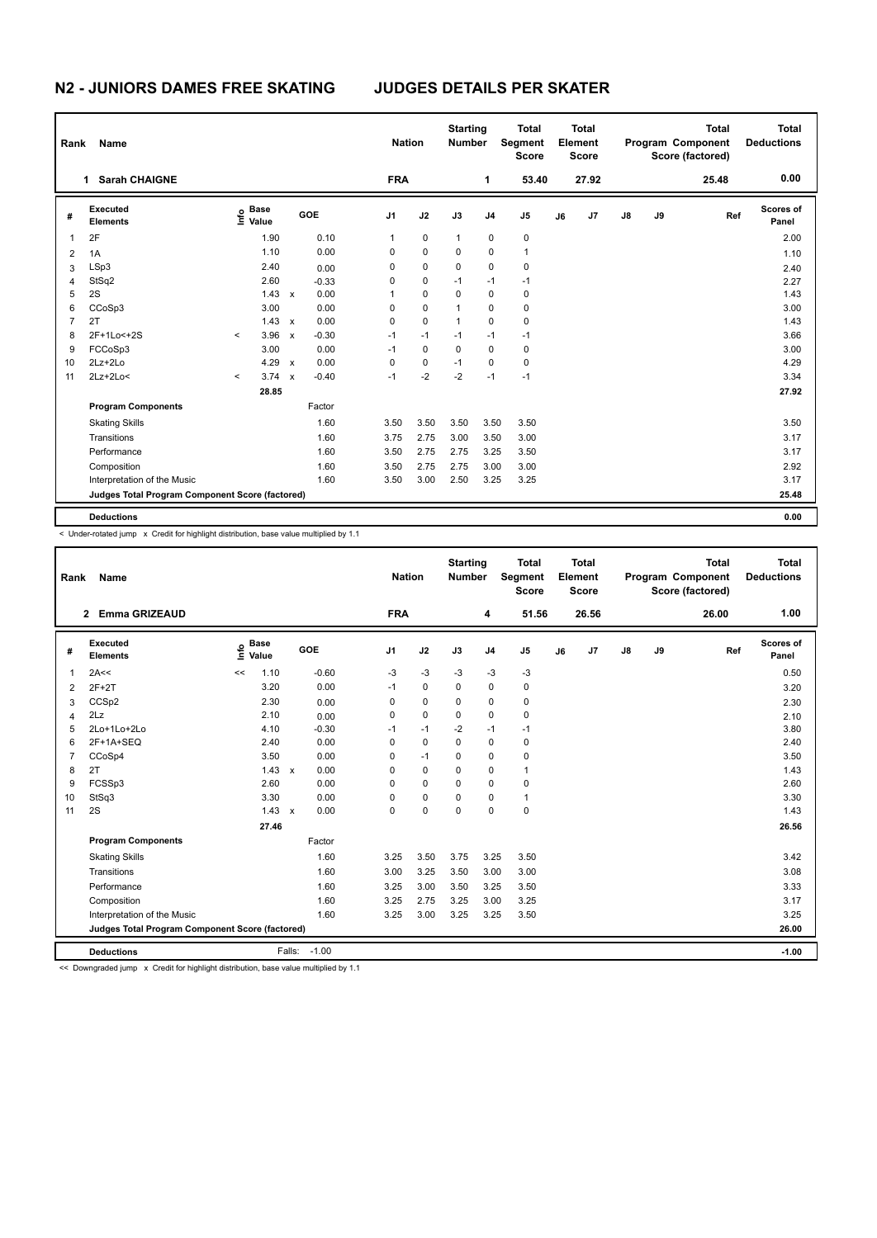# **N2 - JUNIORS DAMES FREE SKATING JUDGES DETAILS PER SKATER**

| Rank           | Name                                            |         |                                  |                           | <b>Nation</b> |                |            | <b>Starting</b><br><b>Number</b> | <b>Total</b><br>Segment<br>Element<br><b>Score</b> |                | <b>Total</b><br><b>Score</b> |    |       | <b>Total</b><br><b>Program Component</b><br>Score (factored) | <b>Total</b><br><b>Deductions</b> |       |                    |
|----------------|-------------------------------------------------|---------|----------------------------------|---------------------------|---------------|----------------|------------|----------------------------------|----------------------------------------------------|----------------|------------------------------|----|-------|--------------------------------------------------------------|-----------------------------------|-------|--------------------|
|                | <b>Sarah CHAIGNE</b><br>1                       |         |                                  |                           |               |                | <b>FRA</b> |                                  |                                                    | 1              | 53.40                        |    | 27.92 |                                                              |                                   | 25.48 | 0.00               |
| #              | Executed<br><b>Elements</b>                     |         | <b>Base</b><br>e Base<br>⊆ Value |                           | GOE           | J <sub>1</sub> |            | J2                               | J3                                                 | J <sub>4</sub> | J5                           | J6 | J7    | $\mathsf{J}8$                                                | J9                                | Ref   | Scores of<br>Panel |
| $\mathbf 1$    | 2F                                              |         | 1.90                             |                           | 0.10          | 1              |            | $\mathbf 0$                      | $\mathbf{1}$                                       | $\pmb{0}$      | $\mathbf 0$                  |    |       |                                                              |                                   |       | 2.00               |
| 2              | 1A                                              |         | 1.10                             |                           | 0.00          | 0              |            | $\mathbf 0$                      | $\Omega$                                           | $\Omega$       | $\overline{1}$               |    |       |                                                              |                                   |       | 1.10               |
| 3              | LSp3                                            |         | 2.40                             |                           | 0.00          | 0              |            | 0                                | 0                                                  | 0              | $\mathbf 0$                  |    |       |                                                              |                                   |       | 2.40               |
| $\overline{4}$ | StSq2                                           |         | 2.60                             |                           | $-0.33$       | 0              |            | $\mathbf 0$                      | $-1$                                               | $-1$           | $-1$                         |    |       |                                                              |                                   |       | 2.27               |
| 5              | 2S                                              |         | 1.43                             | $\mathbf{x}$              | 0.00          | 1              |            | 0                                | $\Omega$                                           | $\mathbf 0$    | $\pmb{0}$                    |    |       |                                                              |                                   |       | 1.43               |
| 6              | CCoSp3                                          |         | 3.00                             |                           | 0.00          | 0              |            | $\mathbf 0$                      | 1                                                  | $\Omega$       | $\mathbf 0$                  |    |       |                                                              |                                   |       | 3.00               |
| $\overline{7}$ | 2T                                              |         | 1.43                             | $\boldsymbol{\mathsf{x}}$ | 0.00          | 0              |            | 0                                | 1                                                  | 0              | 0                            |    |       |                                                              |                                   |       | 1.43               |
| 8              | 2F+1Lo<+2S                                      | $\prec$ | 3.96                             | $\mathsf{x}$              | $-0.30$       | $-1$           |            | $-1$                             | $-1$                                               | $-1$           | $-1$                         |    |       |                                                              |                                   |       | 3.66               |
| 9              | FCCoSp3                                         |         | 3.00                             |                           | 0.00          | $-1$           |            | $\mathbf 0$                      | $\mathbf 0$                                        | $\mathbf 0$    | $\pmb{0}$                    |    |       |                                                              |                                   |       | 3.00               |
| 10             | $2Lz+2Lo$                                       |         | 4.29                             | $\mathbf{x}$              | 0.00          | 0              |            | 0                                | $-1$                                               | $\Omega$       | $\mathbf 0$                  |    |       |                                                              |                                   |       | 4.29               |
| 11             | 2Lz+2Lo<                                        | $\prec$ | 3.74                             | $\boldsymbol{\mathsf{x}}$ | $-0.40$       | $-1$           |            | $-2$                             | $-2$                                               | $-1$           | $-1$                         |    |       |                                                              |                                   |       | 3.34               |
|                |                                                 |         | 28.85                            |                           |               |                |            |                                  |                                                    |                |                              |    |       |                                                              |                                   |       | 27.92              |
|                | <b>Program Components</b>                       |         |                                  |                           | Factor        |                |            |                                  |                                                    |                |                              |    |       |                                                              |                                   |       |                    |
|                | <b>Skating Skills</b>                           |         |                                  |                           | 1.60          | 3.50           |            | 3.50                             | 3.50                                               | 3.50           | 3.50                         |    |       |                                                              |                                   |       | 3.50               |
|                | Transitions                                     |         |                                  |                           | 1.60          | 3.75           |            | 2.75                             | 3.00                                               | 3.50           | 3.00                         |    |       |                                                              |                                   |       | 3.17               |
|                | Performance                                     |         |                                  |                           | 1.60          | 3.50           |            | 2.75                             | 2.75                                               | 3.25           | 3.50                         |    |       |                                                              |                                   |       | 3.17               |
|                | Composition                                     |         |                                  |                           | 1.60          | 3.50           |            | 2.75                             | 2.75                                               | 3.00           | 3.00                         |    |       |                                                              |                                   |       | 2.92               |
|                | Interpretation of the Music                     |         |                                  |                           | 1.60          | 3.50           |            | 3.00                             | 2.50                                               | 3.25           | 3.25                         |    |       |                                                              |                                   |       | 3.17               |
|                | Judges Total Program Component Score (factored) |         |                                  |                           |               |                |            |                                  |                                                    |                |                              |    |       |                                                              |                                   |       | 25.48              |
|                | <b>Deductions</b>                               |         |                                  |                           |               |                |            |                                  |                                                    |                |                              |    |       |                                                              |                                   |       | 0.00               |

< Under-rotated jump x Credit for highlight distribution, base value multiplied by 1.1

| Rank           | Name                                            |                            |              |         |                | <b>Nation</b> |             |                | <b>Total</b><br>Segment<br><b>Score</b> |    | <b>Total</b><br>Element<br><b>Score</b> |               |    | <b>Total</b><br>Program Component<br>Score (factored) | <b>Total</b><br><b>Deductions</b> |
|----------------|-------------------------------------------------|----------------------------|--------------|---------|----------------|---------------|-------------|----------------|-----------------------------------------|----|-----------------------------------------|---------------|----|-------------------------------------------------------|-----------------------------------|
|                | <b>Emma GRIZEAUD</b><br>$\mathbf{2}$            |                            |              |         | <b>FRA</b>     |               |             | 4              | 51.56                                   |    | 26.56                                   |               |    | 26.00                                                 | 1.00                              |
| #              | Executed<br><b>Elements</b>                     | <b>Base</b><br>۴۵<br>Value | GOE          |         | J <sub>1</sub> | J2            | J3          | J <sub>4</sub> | J <sub>5</sub>                          | J6 | J7                                      | $\mathsf{J}8$ | J9 | Ref                                                   | <b>Scores of</b><br>Panel         |
| $\overline{1}$ | 2A<<                                            | 1.10<br><<                 |              | $-0.60$ | -3             | $-3$          | -3          | $-3$           | $-3$                                    |    |                                         |               |    |                                                       | 0.50                              |
| 2              | $2F+2T$                                         | 3.20                       |              | 0.00    | $-1$           | $\mathbf 0$   | 0           | $\mathbf 0$    | 0                                       |    |                                         |               |    |                                                       | 3.20                              |
| 3              | CCSp2                                           | 2.30                       |              | 0.00    | 0              | $\mathbf 0$   | $\Omega$    | $\mathbf 0$    | $\pmb{0}$                               |    |                                         |               |    |                                                       | 2.30                              |
| 4              | 2Lz                                             | 2.10                       |              | 0.00    | 0              | $\pmb{0}$     | $\mathbf 0$ | $\mathbf 0$    | $\pmb{0}$                               |    |                                         |               |    |                                                       | 2.10                              |
| 5              | 2Lo+1Lo+2Lo                                     | 4.10                       |              | $-0.30$ | $-1$           | $-1$          | $-2$        | $-1$           | $-1$                                    |    |                                         |               |    |                                                       | 3.80                              |
| 6              | 2F+1A+SEQ                                       | 2.40                       |              | 0.00    | $\Omega$       | $\mathbf 0$   | $\Omega$    | $\mathbf 0$    | $\pmb{0}$                               |    |                                         |               |    |                                                       | 2.40                              |
| $\overline{7}$ | CCoSp4                                          | 3.50                       |              | 0.00    | 0              | $-1$          | $\Omega$    | $\mathbf 0$    | $\mathbf 0$                             |    |                                         |               |    |                                                       | 3.50                              |
| 8              | 2T                                              | 1.43                       | $\mathsf{x}$ | 0.00    | 0              | $\mathbf 0$   | $\mathbf 0$ | $\mathbf 0$    | $\mathbf{1}$                            |    |                                         |               |    |                                                       | 1.43                              |
| 9              | FCSSp3                                          | 2.60                       |              | 0.00    | $\Omega$       | 0             | $\Omega$    | 0              | 0                                       |    |                                         |               |    |                                                       | 2.60                              |
| 10             | StSq3                                           | 3.30                       |              | 0.00    | $\Omega$       | $\mathbf 0$   | $\mathbf 0$ | $\mathbf 0$    | $\mathbf{1}$                            |    |                                         |               |    |                                                       | 3.30                              |
| 11             | 2S                                              | 1.43                       | $\mathsf{x}$ | 0.00    | $\Omega$       | $\mathbf 0$   | $\Omega$    | $\Omega$       | $\mathbf 0$                             |    |                                         |               |    |                                                       | 1.43                              |
|                |                                                 | 27.46                      |              |         |                |               |             |                |                                         |    |                                         |               |    |                                                       | 26.56                             |
|                | <b>Program Components</b>                       |                            |              | Factor  |                |               |             |                |                                         |    |                                         |               |    |                                                       |                                   |
|                | <b>Skating Skills</b>                           |                            |              | 1.60    | 3.25           | 3.50          | 3.75        | 3.25           | 3.50                                    |    |                                         |               |    |                                                       | 3.42                              |
|                | Transitions                                     |                            |              | 1.60    | 3.00           | 3.25          | 3.50        | 3.00           | 3.00                                    |    |                                         |               |    |                                                       | 3.08                              |
|                | Performance                                     |                            |              | 1.60    | 3.25           | 3.00          | 3.50        | 3.25           | 3.50                                    |    |                                         |               |    |                                                       | 3.33                              |
|                | Composition                                     |                            |              | 1.60    | 3.25           | 2.75          | 3.25        | 3.00           | 3.25                                    |    |                                         |               |    |                                                       | 3.17                              |
|                | Interpretation of the Music                     |                            |              | 1.60    | 3.25           | 3.00          | 3.25        | 3.25           | 3.50                                    |    |                                         |               |    |                                                       | 3.25                              |
|                | Judges Total Program Component Score (factored) |                            |              |         |                |               |             |                |                                         |    |                                         |               |    |                                                       | 26.00                             |
|                | <b>Deductions</b>                               |                            | Falls:       | $-1.00$ |                |               |             |                |                                         |    |                                         |               |    |                                                       | $-1.00$                           |

<< Downgraded jump x Credit for highlight distribution, base value multiplied by 1.1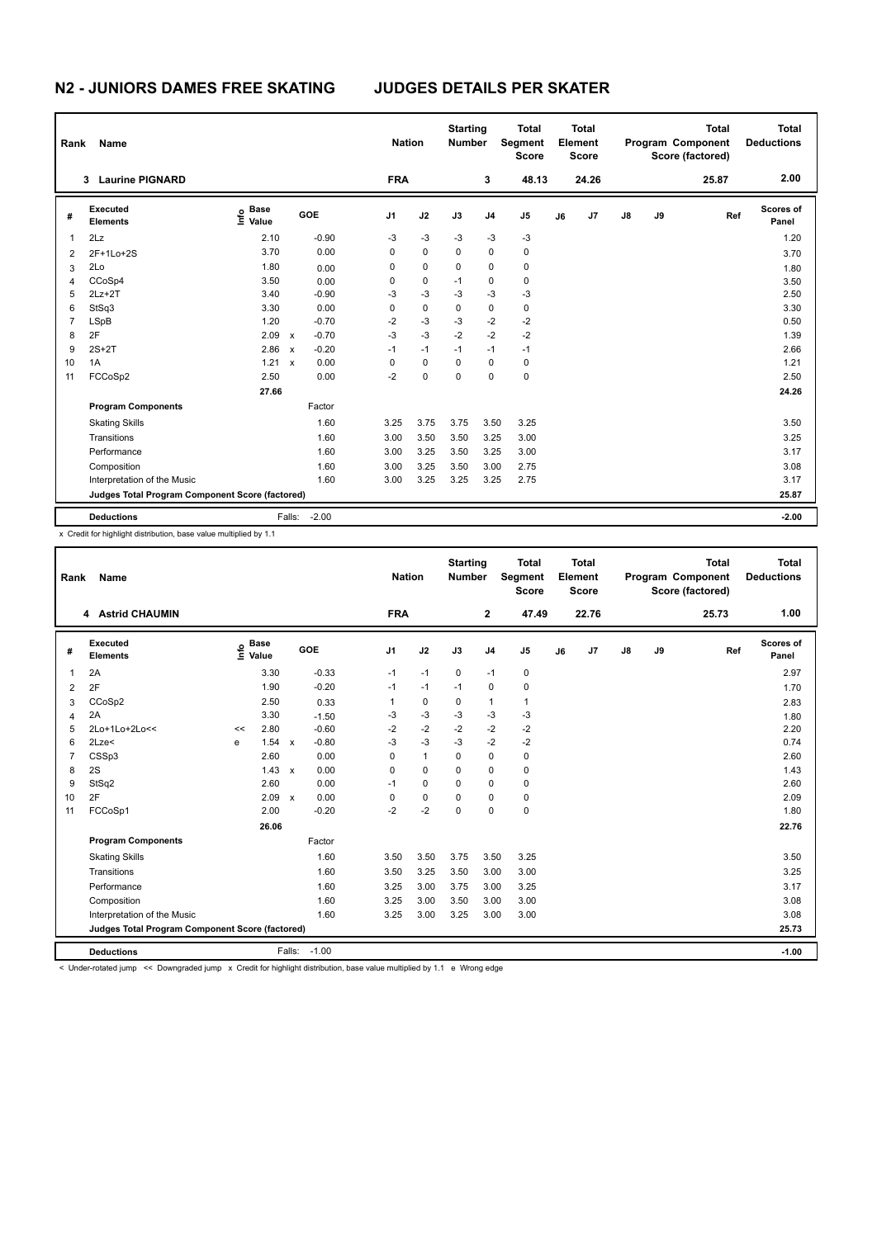## **N2 - JUNIORS DAMES FREE SKATING JUDGES DETAILS PER SKATER**

|                | Name<br>Rank                                    |                                  |              |         | <b>Nation</b>  |             | <b>Starting</b><br><b>Number</b> |                | <b>Total</b><br>Segment<br><b>Score</b> |    | Total<br>Element<br>Score |               |    | <b>Total</b><br>Program Component<br>Score (factored) | <b>Total</b><br><b>Deductions</b> |
|----------------|-------------------------------------------------|----------------------------------|--------------|---------|----------------|-------------|----------------------------------|----------------|-----------------------------------------|----|---------------------------|---------------|----|-------------------------------------------------------|-----------------------------------|
|                | <b>Laurine PIGNARD</b><br>3                     |                                  |              |         | <b>FRA</b>     |             |                                  | 3              | 48.13                                   |    | 24.26                     |               |    | 25.87                                                 | 2.00                              |
| #              | Executed<br><b>Elements</b>                     | <b>Base</b><br>e Base<br>⊆ Value |              | GOE     | J <sub>1</sub> | J2          | J3                               | J <sub>4</sub> | J5                                      | J6 | J7                        | $\mathsf{J}8$ | J9 | Ref                                                   | Scores of<br>Panel                |
| $\mathbf 1$    | 2Lz                                             | 2.10                             |              | $-0.90$ | $-3$           | $-3$        | $-3$                             | -3             | -3                                      |    |                           |               |    |                                                       | 1.20                              |
| $\overline{2}$ | 2F+1Lo+2S                                       | 3.70                             |              | 0.00    | 0              | $\mathbf 0$ | $\Omega$                         | $\mathbf 0$    | $\mathbf 0$                             |    |                           |               |    |                                                       | 3.70                              |
| 3              | 2Lo                                             | 1.80                             |              | 0.00    | 0              | 0           | $\Omega$                         | $\mathbf 0$    | $\mathbf 0$                             |    |                           |               |    |                                                       | 1.80                              |
| $\overline{4}$ | CCoSp4                                          | 3.50                             |              | 0.00    | 0              | $\mathbf 0$ | $-1$                             | 0              | 0                                       |    |                           |               |    |                                                       | 3.50                              |
| 5              | $2Lz+2T$                                        | 3.40                             |              | $-0.90$ | $-3$           | $-3$        | $-3$                             | $-3$           | $-3$                                    |    |                           |               |    |                                                       | 2.50                              |
| 6              | StSq3                                           | 3.30                             |              | 0.00    | 0              | $\mathbf 0$ | $\Omega$                         | 0              | 0                                       |    |                           |               |    |                                                       | 3.30                              |
| $\overline{7}$ | <b>LSpB</b>                                     | 1.20                             |              | $-0.70$ | $-2$           | $-3$        | $-3$                             | $-2$           | $-2$                                    |    |                           |               |    |                                                       | 0.50                              |
| 8              | 2F                                              | 2.09                             | $\mathsf{x}$ | $-0.70$ | $-3$           | $-3$        | $-2$                             | $-2$           | $-2$                                    |    |                           |               |    |                                                       | 1.39                              |
| 9              | $2S+2T$                                         | 2.86                             | $\mathsf{x}$ | $-0.20$ | $-1$           | $-1$        | $-1$                             | $-1$           | $-1$                                    |    |                           |               |    |                                                       | 2.66                              |
| 10             | 1A                                              | 1.21 x                           |              | 0.00    | 0              | $\mathbf 0$ | $\Omega$                         | $\Omega$       | 0                                       |    |                           |               |    |                                                       | 1.21                              |
| 11             | FCCoSp2                                         | 2.50                             |              | 0.00    | $-2$           | 0           | $\mathbf 0$                      | 0              | $\mathbf 0$                             |    |                           |               |    |                                                       | 2.50                              |
|                |                                                 | 27.66                            |              |         |                |             |                                  |                |                                         |    |                           |               |    |                                                       | 24.26                             |
|                | <b>Program Components</b>                       |                                  |              | Factor  |                |             |                                  |                |                                         |    |                           |               |    |                                                       |                                   |
|                | <b>Skating Skills</b>                           |                                  |              | 1.60    | 3.25           | 3.75        | 3.75                             | 3.50           | 3.25                                    |    |                           |               |    |                                                       | 3.50                              |
|                | Transitions                                     |                                  |              | 1.60    | 3.00           | 3.50        | 3.50                             | 3.25           | 3.00                                    |    |                           |               |    |                                                       | 3.25                              |
|                | Performance                                     |                                  |              | 1.60    | 3.00           | 3.25        | 3.50                             | 3.25           | 3.00                                    |    |                           |               |    |                                                       | 3.17                              |
|                | Composition                                     |                                  |              | 1.60    | 3.00           | 3.25        | 3.50                             | 3.00           | 2.75                                    |    |                           |               |    |                                                       | 3.08                              |
|                | Interpretation of the Music                     |                                  |              | 1.60    | 3.00           | 3.25        | 3.25                             | 3.25           | 2.75                                    |    |                           |               |    |                                                       | 3.17                              |
|                | Judges Total Program Component Score (factored) |                                  |              |         |                |             |                                  |                |                                         |    |                           |               |    |                                                       | 25.87                             |
|                | <b>Deductions</b>                               |                                  | Falls:       | $-2.00$ |                |             |                                  |                |                                         |    |                           |               |    |                                                       | $-2.00$                           |

x Credit for highlight distribution, base value multiplied by 1.1

| Name<br>Rank   |                                                 |    |                                  |              |         |                | <b>Nation</b> |             | <b>Starting</b><br><b>Number</b> | <b>Total</b><br>Segment<br><b>Score</b> | Total<br>Element<br><b>Score</b> |       |               |    | <b>Total</b><br><b>Program Component</b><br>Score (factored) | Total<br><b>Deductions</b> |
|----------------|-------------------------------------------------|----|----------------------------------|--------------|---------|----------------|---------------|-------------|----------------------------------|-----------------------------------------|----------------------------------|-------|---------------|----|--------------------------------------------------------------|----------------------------|
|                | 4 Astrid CHAUMIN                                |    |                                  |              |         | <b>FRA</b>     |               |             | $\mathbf{2}$                     | 47.49                                   |                                  | 22.76 |               |    | 25.73                                                        | 1.00                       |
| #              | Executed<br><b>Elements</b>                     |    | <b>Base</b><br>e Base<br>E Value |              | GOE     | J <sub>1</sub> | J2            | J3          | J <sub>4</sub>                   | J <sub>5</sub>                          | J6                               | J7    | $\mathsf{J}8$ | J9 | Ref                                                          | Scores of<br>Panel         |
| 1              | 2A                                              |    | 3.30                             |              | $-0.33$ | $-1$           | $-1$          | $\mathbf 0$ | $-1$                             | $\pmb{0}$                               |                                  |       |               |    |                                                              | 2.97                       |
| 2              | 2F                                              |    | 1.90                             |              | $-0.20$ | $-1$           | $-1$          | $-1$        | $\mathbf 0$                      | $\mathbf 0$                             |                                  |       |               |    |                                                              | 1.70                       |
| 3              | CCoSp2                                          |    | 2.50                             |              | 0.33    | 1              | 0             | 0           | $\mathbf{1}$                     | $\mathbf{1}$                            |                                  |       |               |    |                                                              | 2.83                       |
| $\overline{4}$ | 2A                                              |    | 3.30                             |              | $-1.50$ | -3             | $-3$          | $-3$        | $-3$                             | $-3$                                    |                                  |       |               |    |                                                              | 1.80                       |
| 5              | 2Lo+1Lo+2Lo<<                                   | << | 2.80                             |              | $-0.60$ | $-2$           | $-2$          | $-2$        | $-2$                             | $-2$                                    |                                  |       |               |    |                                                              | 2.20                       |
| 6              | $2$ Lze $<$                                     | e  | 1.54                             | $\mathsf{x}$ | $-0.80$ | $-3$           | $-3$          | $-3$        | $-2$                             | $-2$                                    |                                  |       |               |    |                                                              | 0.74                       |
| $\overline{7}$ | CSSp3                                           |    | 2.60                             |              | 0.00    | 0              | $\mathbf{1}$  | $\Omega$    | $\Omega$                         | $\pmb{0}$                               |                                  |       |               |    |                                                              | 2.60                       |
| 8              | 2S                                              |    | 1.43                             | $\mathsf{x}$ | 0.00    | 0              | $\mathbf 0$   | $\mathbf 0$ | $\mathbf 0$                      | $\pmb{0}$                               |                                  |       |               |    |                                                              | 1.43                       |
| 9              | StSq2                                           |    | 2.60                             |              | 0.00    | $-1$           | $\Omega$      | $\Omega$    | $\mathbf 0$                      | $\mathbf 0$                             |                                  |       |               |    |                                                              | 2.60                       |
| 10             | 2F                                              |    | 2.09                             | $\mathbf{x}$ | 0.00    | 0              | $\mathbf 0$   | $\mathbf 0$ | $\mathbf 0$                      | $\pmb{0}$                               |                                  |       |               |    |                                                              | 2.09                       |
| 11             | FCCoSp1                                         |    | 2.00                             |              | $-0.20$ | $-2$           | $-2$          | $\Omega$    | $\mathbf 0$                      | $\mathbf 0$                             |                                  |       |               |    |                                                              | 1.80                       |
|                |                                                 |    | 26.06                            |              |         |                |               |             |                                  |                                         |                                  |       |               |    |                                                              | 22.76                      |
|                | <b>Program Components</b>                       |    |                                  |              | Factor  |                |               |             |                                  |                                         |                                  |       |               |    |                                                              |                            |
|                | <b>Skating Skills</b>                           |    |                                  |              | 1.60    | 3.50           | 3.50          | 3.75        | 3.50                             | 3.25                                    |                                  |       |               |    |                                                              | 3.50                       |
|                | Transitions                                     |    |                                  |              | 1.60    | 3.50           | 3.25          | 3.50        | 3.00                             | 3.00                                    |                                  |       |               |    |                                                              | 3.25                       |
|                | Performance                                     |    |                                  |              | 1.60    | 3.25           | 3.00          | 3.75        | 3.00                             | 3.25                                    |                                  |       |               |    |                                                              | 3.17                       |
|                | Composition                                     |    |                                  |              | 1.60    | 3.25           | 3.00          | 3.50        | 3.00                             | 3.00                                    |                                  |       |               |    |                                                              | 3.08                       |
|                | Interpretation of the Music                     |    |                                  |              | 1.60    | 3.25           | 3.00          | 3.25        | 3.00                             | 3.00                                    |                                  |       |               |    |                                                              | 3.08                       |
|                | Judges Total Program Component Score (factored) |    |                                  |              |         |                |               |             |                                  |                                         |                                  | 25.73 |               |    |                                                              |                            |
|                | <b>Deductions</b>                               |    |                                  | Falls:       | $-1.00$ |                |               |             |                                  |                                         |                                  |       |               |    |                                                              | $-1.00$                    |

< Under-rotated jump << Downgraded jump x Credit for highlight distribution, base value multiplied by 1.1 e Wrong edge